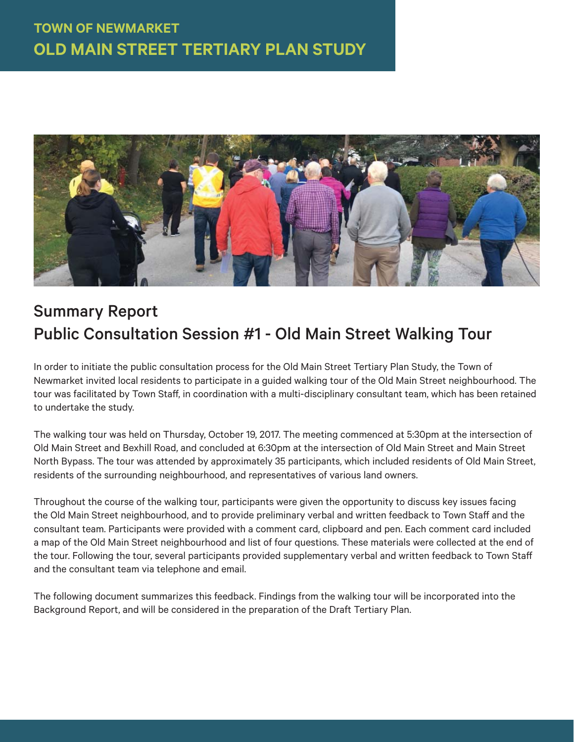

# Summary Report Public Consultation Session #1 - Old Main Street Walking Tour

In order to initiate the public consultation process for the Old Main Street Tertiary Plan Study, the Town of Newmarket invited local residents to participate in a guided walking tour of the Old Main Street neighbourhood. The tour was facilitated by Town Staff , in coordination with a multi-disciplinary consultant team, which has been retained to undertake the study.

The walking tour was held on Thursday, October 19, 2017. The meeting commenced at 5:30pm at the intersection of Old Main Street and Bexhill Road, and concluded at 6:30pm at the intersection of Old Main Street and Main Street North Bypass. The tour was attended by approximately 35 participants, which included residents of Old Main Street, residents of the surrounding neighbourhood, and representatives of various land owners.

Throughout the course of the walking tour, participants were given the opportunity to discuss key issues facing the Old Main Street neighbourhood, and to provide preliminary verbal and written feedback to Town Staff and the consultant team. Participants were provided with a comment card, clipboard and pen. Each comment card included a map of the Old Main Street neighbourhood and list of four questions. These materials were collected at the end of the tour. Following the tour, several participants provided supplementary verbal and written feedback to Town Staff and the consultant team via telephone and email.

The following document summarizes this feedback. Findings from the walking tour will be incorporated into the Background Report, and will be considered in the preparation of the Draft Tertiary Plan.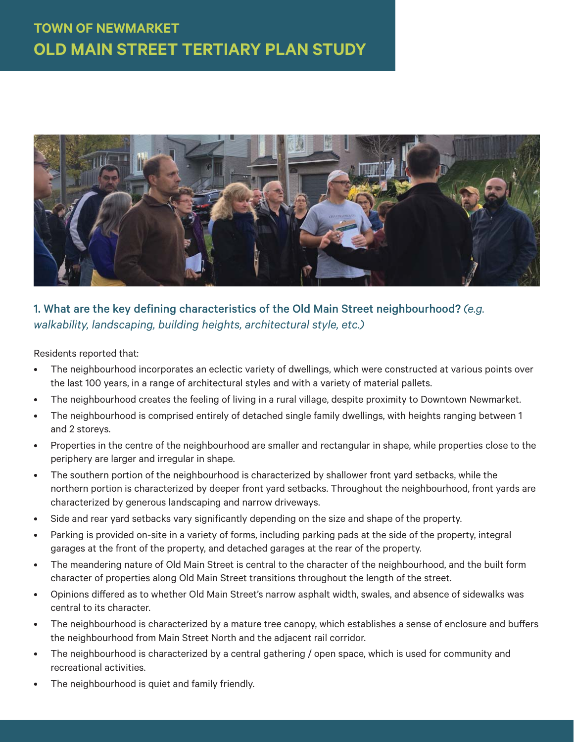

### 1. What are the key defining characteristics of the Old Main Street neighbourhood? *(e.g. walkability, landscaping, building heights, architectural style, etc.)*

Residents reported that:

- The neighbourhood incorporates an eclectic variety of dwellings, which were constructed at various points over the last 100 years, in a range of architectural styles and with a variety of material pallets.
- The neighbourhood creates the feeling of living in a rural village, despite proximity to Downtown Newmarket.
- The neighbourhood is comprised entirely of detached single family dwellings, with heights ranging between 1 and 2 storeys.
- Properties in the centre of the neighbourhood are smaller and rectangular in shape, while properties close to the periphery are larger and irregular in shape.
- The southern portion of the neighbourhood is characterized by shallower front yard setbacks, while the northern portion is characterized by deeper front yard setbacks. Throughout the neighbourhood, front yards are characterized by generous landscaping and narrow driveways.
- Side and rear yard setbacks vary significantly depending on the size and shape of the property.
- Parking is provided on-site in a variety of forms, including parking pads at the side of the property, integral garages at the front of the property, and detached garages at the rear of the property.
- The meandering nature of Old Main Street is central to the character of the neighbourhood, and the built form character of properties along Old Main Street transitions throughout the length of the street.
- Opinions diff ered as to whether Old Main Street's narrow asphalt width, swales, and absence of sidewalks was central to its character.
- The neighbourhood is characterized by a mature tree canopy, which establishes a sense of enclosure and buffers the neighbourhood from Main Street North and the adjacent rail corridor.
- The neighbourhood is characterized by a central gathering / open space, which is used for community and recreational activities.
- The neighbourhood is quiet and family friendly.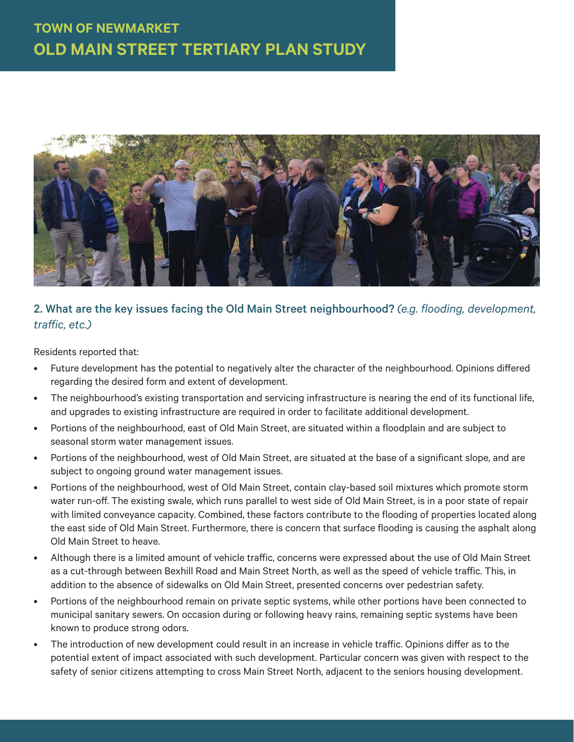

#### 2. What are the key issues facing the Old Main Street neighbourhood? *(e.g. flooding, development, traff ic, etc.)*

Residents reported that:

- Future development has the potential to negatively alter the character of the neighbourhood. Opinions differed regarding the desired form and extent of development.
- The neighbourhood's existing transportation and servicing infrastructure is nearing the end of its functional life, and upgrades to existing infrastructure are required in order to facilitate additional development.
- Portions of the neighbourhood, east of Old Main Street, are situated within a floodplain and are subject to seasonal storm water management issues.
- Portions of the neighbourhood, west of Old Main Street, are situated at the base of a significant slope, and are subject to ongoing ground water management issues.
- Portions of the neighbourhood, west of Old Main Street, contain clay-based soil mixtures which promote storm water run-off. The existing swale, which runs parallel to west side of Old Main Street, is in a poor state of repair with limited conveyance capacity. Combined, these factors contribute to the flooding of properties located along the east side of Old Main Street. Furthermore, there is concern that surface flooding is causing the asphalt along Old Main Street to heave.
- Although there is a limited amount of vehicle traffic, concerns were expressed about the use of Old Main Street as a cut-through between Bexhill Road and Main Street North, as well as the speed of vehicle traffic. This, in addition to the absence of sidewalks on Old Main Street, presented concerns over pedestrian safety.
- Portions of the neighbourhood remain on private septic systems, while other portions have been connected to municipal sanitary sewers. On occasion during or following heavy rains, remaining septic systems have been known to produce strong odors.
- The introduction of new development could result in an increase in vehicle traffic. Opinions differ as to the potential extent of impact associated with such development. Particular concern was given with respect to the safety of senior citizens attempting to cross Main Street North, adjacent to the seniors housing development.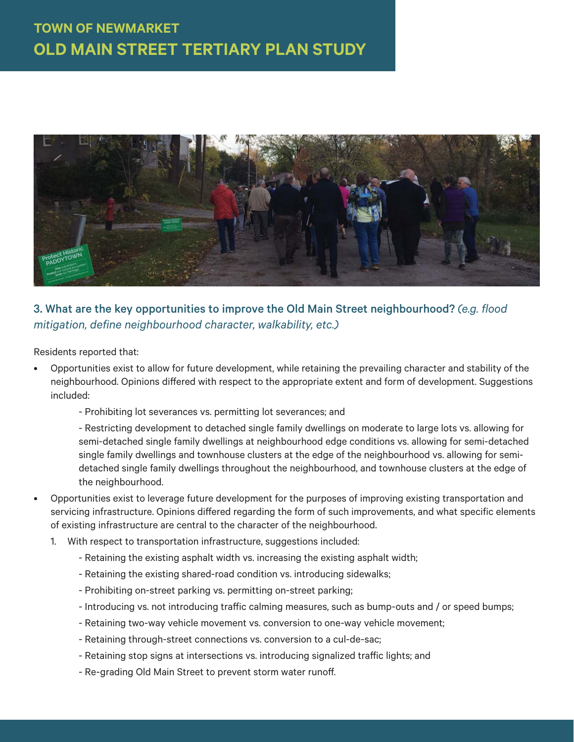

### 3. What are the key opportunities to improve the Old Main Street neighbourhood? *(e.g. flood mitigation, define neighbourhood character, walkability, etc.)*

Residents reported that:

- Opportunities exist to allow for future development, while retaining the prevailing character and stability of the neighbourhood. Opinions differed with respect to the appropriate extent and form of development. Suggestions included:
	- Prohibiting lot severances vs. permitting lot severances; and

- Restricting development to detached single family dwellings on moderate to large lots vs. allowing for semi-detached single family dwellings at neighbourhood edge conditions vs. allowing for semi-detached single family dwellings and townhouse clusters at the edge of the neighbourhood vs. allowing for semidetached single family dwellings throughout the neighbourhood, and townhouse clusters at the edge of the neighbourhood.

- Opportunities exist to leverage future development for the purposes of improving existing transportation and servicing infrastructure. Opinions differed regarding the form of such improvements, and what specific elements of existing infrastructure are central to the character of the neighbourhood.
	- 1. With respect to transportation infrastructure, suggestions included:
		- Retaining the existing asphalt width vs. increasing the existing asphalt width;
		- Retaining the existing shared-road condition vs. introducing sidewalks;
		- Prohibiting on-street parking vs. permitting on-street parking;
		- Introducing vs. not introducing traffic calming measures, such as bump-outs and / or speed bumps;
		- Retaining two-way vehicle movement vs. conversion to one-way vehicle movement;
		- Retaining through-street connections vs. conversion to a cul-de-sac;
		- Retaining stop signs at intersections vs. introducing signalized traffic lights; and
		- Re-grading Old Main Street to prevent storm water runoff.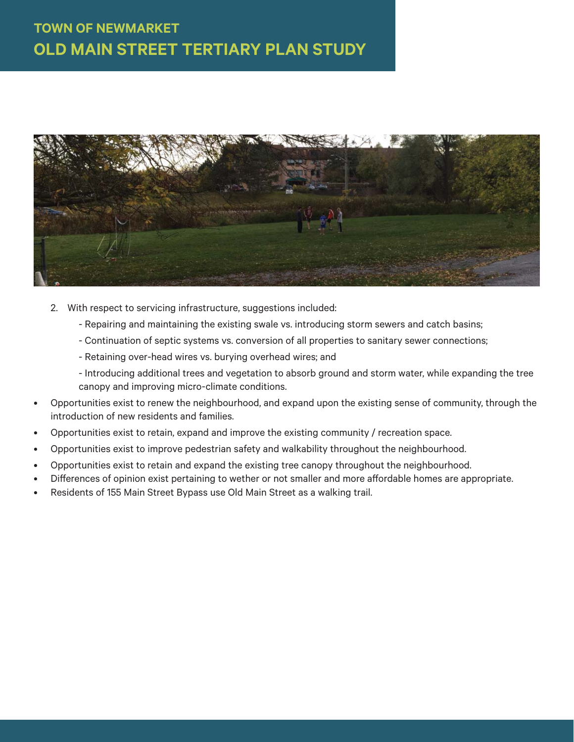

- 2. With respect to servicing infrastructure, suggestions included:
	- Repairing and maintaining the existing swale vs. introducing storm sewers and catch basins;
	- Continuation of septic systems vs. conversion of all properties to sanitary sewer connections;
	- Retaining over-head wires vs. burying overhead wires; and
	- Introducing additional trees and vegetation to absorb ground and storm water, while expanding the tree canopy and improving micro-climate conditions.
- Opportunities exist to renew the neighbourhood, and expand upon the existing sense of community, through the introduction of new residents and families.
- Opportunities exist to retain, expand and improve the existing community / recreation space.
- Opportunities exist to improve pedestrian safety and walkability throughout the neighbourhood.
- Opportunities exist to retain and expand the existing tree canopy throughout the neighbourhood.
- Differences of opinion exist pertaining to wether or not smaller and more affordable homes are appropriate.
- Residents of 155 Main Street Bypass use Old Main Street as a walking trail.